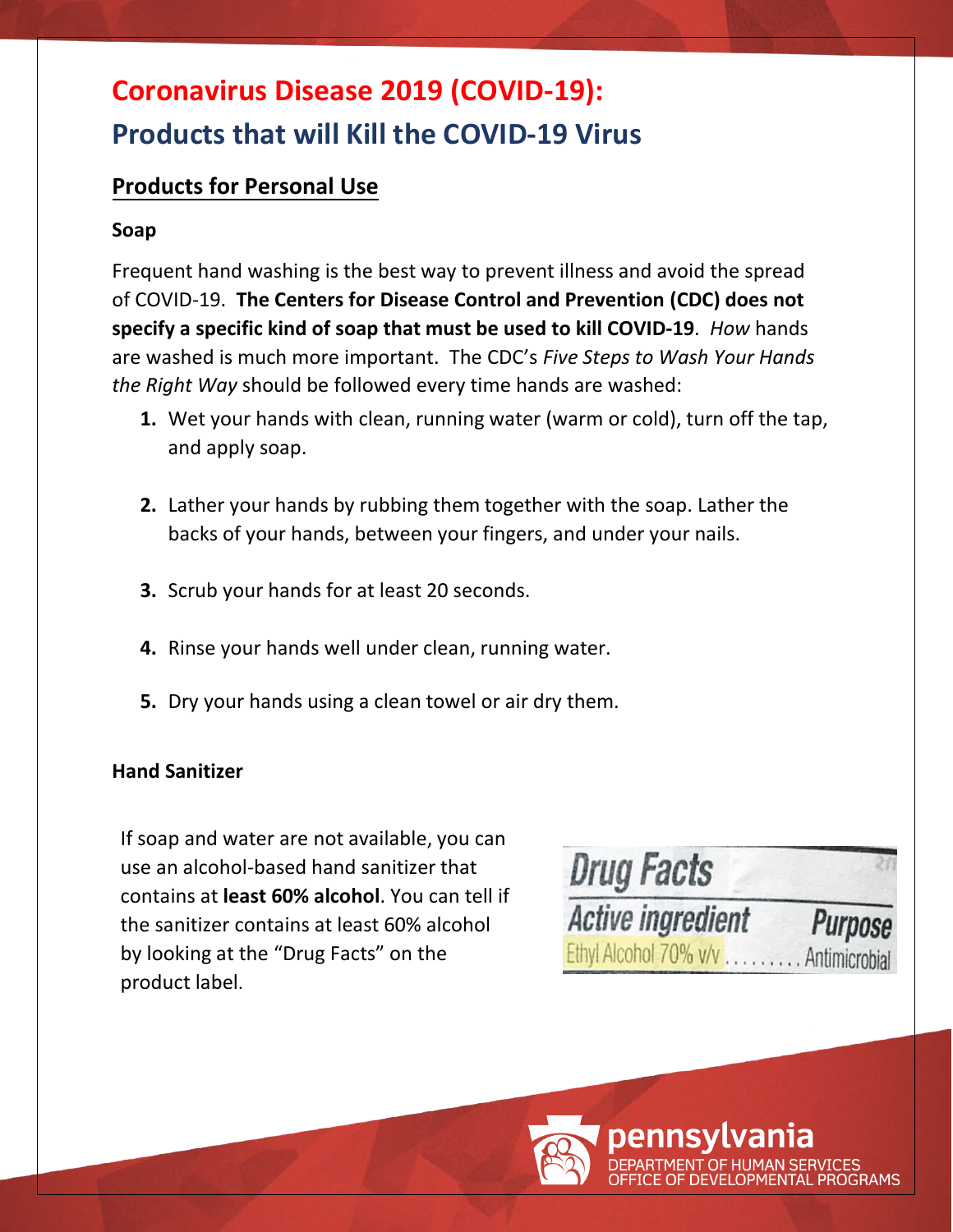# **Coronavirus Disease 2019 (COVID-19): Products that will Kill the COVID-19 Virus**

# **Products for Personal Use**

### **Soap**

Frequent hand washing is the best way to prevent illness and avoid the spread of COVID-19. **The Centers for Disease Control and Prevention (CDC) does not specify a specific kind of soap that must be used to kill COVID-19**. *How* hands are washed is much more important. The CDC's *Five Steps to Wash Your Hands the Right Way* should be followed every time hands are washed:

- **1.** Wet your hands with clean, running water (warm or cold), turn off the tap, and apply soap.
- **2.** Lather your hands by rubbing them together with the soap. Lather the backs of your hands, between your fingers, and under your nails.
- **3.** Scrub your hands for at least 20 seconds.
- **4.** Rinse your hands well under clean, running water.
- **5.** Dry your hands using a clean towel or air dry them.

#### **Hand Sanitizer**

If soap and water are not available, you can use an alcohol-based hand sanitizer that contains at **least 60% alcohol**. You can tell if the sanitizer contains at least 60% alcohol by looking at the "Drug Facts" on the product label.

| <b>Drug Facts</b>                   |         |
|-------------------------------------|---------|
| <b>Active ingredient</b>            | Purpose |
| Ethyl Alcohol 70% v/v Antimicrobial |         |

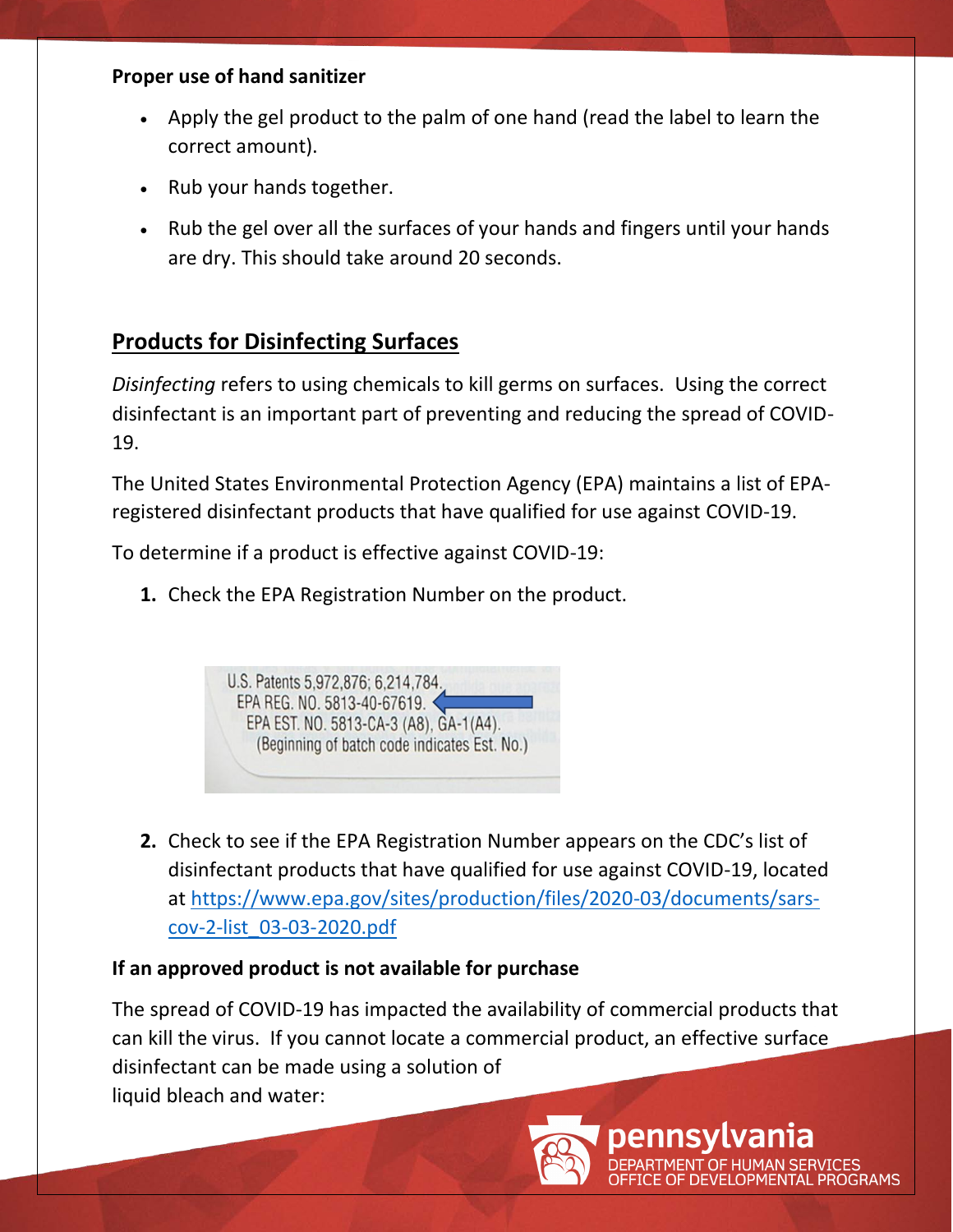#### **Proper use of hand sanitizer**

- Apply the gel product to the palm of one hand (read the label to learn the correct amount).
- Rub your hands together.
- Rub the gel over all the surfaces of your hands and fingers until your hands are dry. This should take around 20 seconds.

## **Products for Disinfecting Surfaces**

*Disinfecting* refers to using chemicals to kill germs on surfaces. Using the correct disinfectant is an important part of preventing and reducing the spread of COVID-19.

The United States Environmental Protection Agency (EPA) maintains a list of EPAregistered disinfectant products that have qualified for use against COVID-19.

To determine if a product is effective against COVID-19:

**1.** Check the EPA Registration Number on the product.



**2.** Check to see if the EPA Registration Number appears on the CDC's list of disinfectant products that have qualified for use against COVID-19, located at [https://www.epa.gov/sites/production/files/2020-03/documents/sars](https://www.epa.gov/sites/production/files/2020-03/documents/sars-cov-2-list_03-03-2020.pdf)[cov-2-list\\_03-03-2020.pdf](https://www.epa.gov/sites/production/files/2020-03/documents/sars-cov-2-list_03-03-2020.pdf)

## **If an approved product is not available for purchase**

The spread of COVID-19 has impacted the availability of commercial products that can kill the virus. If you cannot locate a commercial product, an effective surface disinfectant can be made using a solution of liquid bleach and water:



**MAN SERVICES** OPMENTAL PROGRAMS